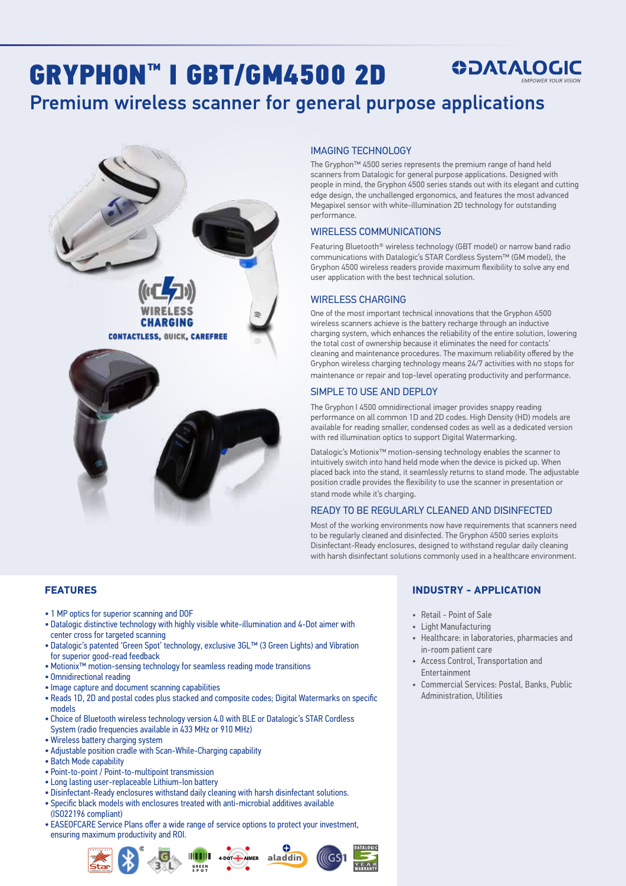## GRYPHON™ I GBT/GM4500 2D **ODATALOGIC**

# Premium wireless scanner for general purpose applications



#### IMAGING TECHNOLOGY

The Gryphon™ 4500 series represents the premium range of hand held scanners from Datalogic for general purpose applications. Designed with people in mind, the Gryphon 4500 series stands out with its elegant and cutting edge design, the unchallenged ergonomics, and features the most advanced Megapixel sensor with white-illumination 2D technology for outstanding performance.

#### WIRELESS COMMUNICATIONS

Featuring Bluetooth® wireless technology (GBT model) or narrow band radio communications with Datalogic's STAR Cordless System™ (GM model), the Gryphon 4500 wireless readers provide maximum flexibility to solve any end user application with the best technical solution.

### WIRELESS CHARGING

One of the most important technical innovations that the Gryphon 4500 wireless scanners achieve is the battery recharge through an inductive charging system, which enhances the reliability of the entire solution, lowering the total cost of ownership because it eliminates the need for contacts' cleaning and maintenance procedures. The maximum reliability offered by the Gryphon wireless charging technology means 24/7 activities with no stops for maintenance or repair and top-level operating productivity and performance.

#### SIMPLE TO USE AND DEPLOY

The Gryphon I 4500 omnidirectional imager provides snappy reading performance on all common 1D and 2D codes. High Density (HD) models are available for reading smaller, condensed codes as well as a dedicated version with red illumination optics to support Digital Watermarking.

Datalogic's Motionix™ motion-sensing technology enables the scanner to intuitively switch into hand held mode when the device is picked up. When placed back into the stand, it seamlessly returns to stand mode. The adjustable position cradle provides the flexibility to use the scanner in presentation or stand mode while it's charging.

### READY TO BE REGULARLY CLEANED AND DISINFECTED

Most of the working environments now have requirements that scanners need to be regularly cleaned and disinfected. The Gryphon 4500 series exploits Disinfectant-Ready enclosures, designed to withstand regular daily cleaning with harsh disinfectant solutions commonly used in a healthcare environment.

#### **FEATURES**

- 1 MP optics for superior scanning and DOF
- Datalogic distinctive technology with highly visible white-illumination and 4-Dot aimer with center cross for targeted scanning
- Datalogic's patented 'Green Spot' technology, exclusive 3GL™ (3 Green Lights) and Vibration for superior good-read feedback
- Motionix™ motion-sensing technology for seamless reading mode transitions
- Omnidirectional reading
- Image capture and document scanning capabilities
- Reads 1D, 2D and postal codes plus stacked and composite codes; Digital Watermarks on specific models
- Choice of Bluetooth wireless technology version 4.0 with BLE or Datalogic's STAR Cordless System (radio frequencies available in 433 MHz or 910 MHz)
- Wireless battery charging system
- Adjustable position cradle with Scan-While-Charging capability
- Batch Mode capability
- Point-to-point / Point-to-multipoint transmission
- Long lasting user-replaceable Lithium-Ion battery
- Disinfectant-Ready enclosures withstand daily cleaning with harsh disinfectant solutions.
- Specific black models with enclosures treated with anti-microbial additives available
- (ISO22196 compliant)
- EASEOFCARE Service Plans offer a wide range of service options to protect your investment, ensuring maximum productivity and ROI.



### **INDUSTRY - APPLICATION**

- Retail Point of Sale
- Light Manufacturing
- Healthcare: in laboratories, pharmacies and in-room patient care
- Access Control, Transportation and Entertainment
- Commercial Services: Postal, Banks, Public Administration, Utilities